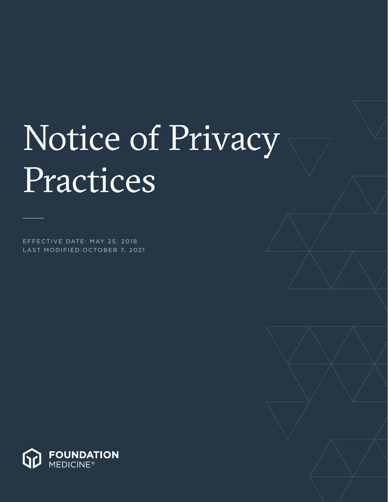# Notice of Privacy Practices

EFFECTIVE DATE: MAY 25, 2018 LAST MODIFIED:OCTOBER 7, 2021

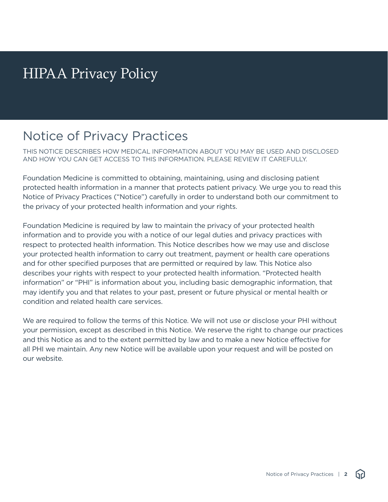## HIPAA Privacy Policy

### Notice of Privacy Practices

THIS NOTICE DESCRIBES HOW MEDICAL INFORMATION ABOUT YOU MAY BE USED AND DISCLOSED AND HOW YOU CAN GET ACCESS TO THIS INFORMATION. PLEASE REVIEW IT CAREFULLY.

Foundation Medicine is committed to obtaining, maintaining, using and disclosing patient protected health information in a manner that protects patient privacy. We urge you to read this Notice of Privacy Practices ("Notice") carefully in order to understand both our commitment to the privacy of your protected health information and your rights.

Foundation Medicine is required by law to maintain the privacy of your protected health information and to provide you with a notice of our legal duties and privacy practices with respect to protected health information. This Notice describes how we may use and disclose your protected health information to carry out treatment, payment or health care operations and for other specified purposes that are permitted or required by law. This Notice also describes your rights with respect to your protected health information. "Protected health information" or "PHI" is information about you, including basic demographic information, that may identify you and that relates to your past, present or future physical or mental health or condition and related health care services.

We are required to follow the terms of this Notice. We will not use or disclose your PHI without your permission, except as described in this Notice. We reserve the right to change our practices and this Notice as and to the extent permitted by law and to make a new Notice effective for all PHI we maintain. Any new Notice will be available upon your request and will be posted on our website.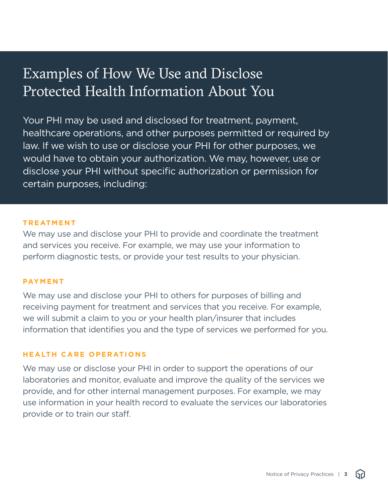## Examples of How We Use and Disclose Protected Health Information About You

Your PHI may be used and disclosed for treatment, payment, healthcare operations, and other purposes permitted or required by law. If we wish to use or disclose your PHI for other purposes, we would have to obtain your authorization. We may, however, use or disclose your PHI without specific authorization or permission for certain purposes, including:

#### **TREATMENT**

We may use and disclose your PHI to provide and coordinate the treatment and services you receive. For example, we may use your information to perform diagnostic tests, or provide your test results to your physician.

#### **PAYMENT**

We may use and disclose your PHI to others for purposes of billing and receiving payment for treatment and services that you receive. For example, we will submit a claim to you or your health plan/insurer that includes information that identifies you and the type of services we performed for you.

#### **HEALTH CARE OPERATIONS**

We may use or disclose your PHI in order to support the operations of our laboratories and monitor, evaluate and improve the quality of the services we provide, and for other internal management purposes. For example, we may use information in your health record to evaluate the services our laboratories provide or to train our staff.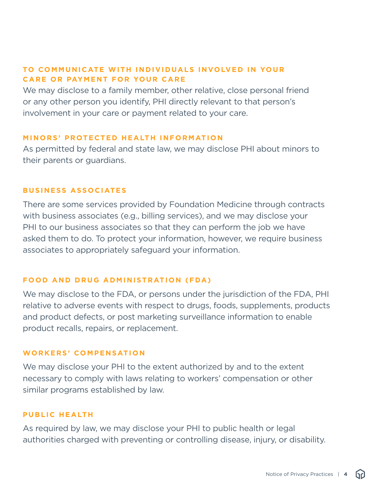#### **TO COMMUNICATE WITH INDIVIDUALS INVOLVED IN YOUR CARE OR PAYMENT FOR YOUR CARE**

We may disclose to a family member, other relative, close personal friend or any other person you identify, PHI directly relevant to that person's involvement in your care or payment related to your care.

#### **MINORS' PROTECTED HEALTH INFORMATION**

As permitted by federal and state law, we may disclose PHI about minors to their parents or guardians.

#### **BUSINESS ASSOCIATES**

There are some services provided by Foundation Medicine through contracts with business associates (e.g., billing services), and we may disclose your PHI to our business associates so that they can perform the job we have asked them to do. To protect your information, however, we require business associates to appropriately safeguard your information.

#### **FOOD AND DRUG ADMINISTRATION (FDA)**

We may disclose to the FDA, or persons under the jurisdiction of the FDA, PHI relative to adverse events with respect to drugs, foods, supplements, products and product defects, or post marketing surveillance information to enable product recalls, repairs, or replacement.

#### **WORKERS' COMPENSATION**

We may disclose your PHI to the extent authorized by and to the extent necessary to comply with laws relating to workers' compensation or other similar programs established by law.

#### **PUBLIC HEALTH**

As required by law, we may disclose your PHI to public health or legal authorities charged with preventing or controlling disease, injury, or disability.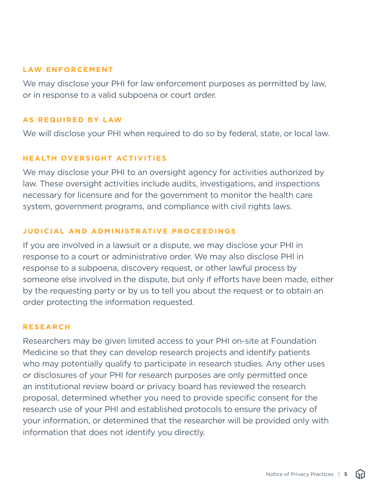#### **LAW ENFORCEMENT**

We may disclose your PHI for law enforcement purposes as permitted by law, or in response to a valid subpoena or court order.

#### **AS REQUIRED BY LAW**

We will disclose your PHI when required to do so by federal, state, or local law.

#### **HEALTH OVERSIGHT ACTIVITIES**

We may disclose your PHI to an oversight agency for activities authorized by law. These oversight activities include audits, investigations, and inspections necessary for licensure and for the government to monitor the health care system, government programs, and compliance with civil rights laws.

#### **JUDICIAL AND ADMINISTRATIVE PROCEEDINGS**

If you are involved in a lawsuit or a dispute, we may disclose your PHI in response to a court or administrative order. We may also disclose PHI in response to a subpoena, discovery request, or other lawful process by someone else involved in the dispute, but only if efforts have been made, either by the requesting party or by us to tell you about the request or to obtain an order protecting the information requested.

#### **RESEARCH**

Researchers may be given limited access to your PHI on-site at Foundation Medicine so that they can develop research projects and identify patients who may potentially qualify to participate in research studies. Any other uses or disclosures of your PHI for research purposes are only permitted once an institutional review board or privacy board has reviewed the research proposal, determined whether you need to provide specific consent for the research use of your PHI and established protocols to ensure the privacy of your information, or determined that the researcher will be provided only with information that does not identify you directly.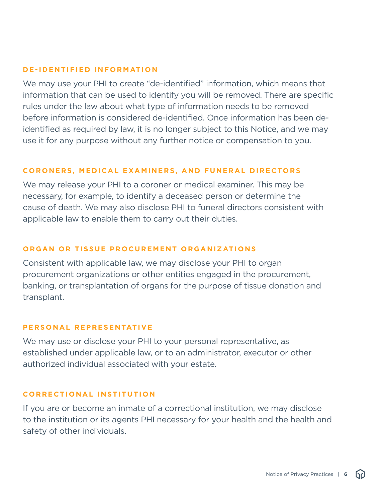#### **DE-IDENTIFIED INFORMATION**

We may use your PHI to create "de-identified" information, which means that information that can be used to identify you will be removed. There are specific rules under the law about what type of information needs to be removed before information is considered de-identified. Once information has been deidentified as required by law, it is no longer subject to this Notice, and we may use it for any purpose without any further notice or compensation to you.

#### **CORONERS, MEDICAL EXAMINERS, AND FUNERAL DIRECTORS**

We may release your PHI to a coroner or medical examiner. This may be necessary, for example, to identify a deceased person or determine the cause of death. We may also disclose PHI to funeral directors consistent with applicable law to enable them to carry out their duties.

#### **ORGAN OR TISSUE PROCUREMENT ORGANIZATIONS**

Consistent with applicable law, we may disclose your PHI to organ procurement organizations or other entities engaged in the procurement, banking, or transplantation of organs for the purpose of tissue donation and transplant.

#### **PERSONAL REPRESENTATIVE**

We may use or disclose your PHI to your personal representative, as established under applicable law, or to an administrator, executor or other authorized individual associated with your estate.

#### **CORRECTIONAL INSTITUTION**

If you are or become an inmate of a correctional institution, we may disclose to the institution or its agents PHI necessary for your health and the health and safety of other individuals.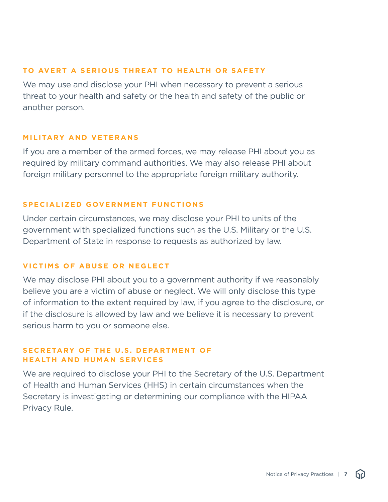#### **TO AVERT A SERIOUS THREAT TO HEALTH OR SAFETY**

We may use and disclose your PHI when necessary to prevent a serious threat to your health and safety or the health and safety of the public or another person.

#### **MILITARY AND VETERANS**

If you are a member of the armed forces, we may release PHI about you as required by military command authorities. We may also release PHI about foreign military personnel to the appropriate foreign military authority.

#### **SPECIALIZED GOVERNMENT FUNCTIONS**

Under certain circumstances, we may disclose your PHI to units of the government with specialized functions such as the U.S. Military or the U.S. Department of State in response to requests as authorized by law.

#### **VICTIMS OF ABUSE OR NEGLECT**

We may disclose PHI about you to a government authority if we reasonably believe you are a victim of abuse or neglect. We will only disclose this type of information to the extent required by law, if you agree to the disclosure, or if the disclosure is allowed by law and we believe it is necessary to prevent serious harm to you or someone else.

#### **SECRETARY OF THE U.S. DEPARTMENT OF HEALTH AND HUMAN SERVICES**

We are required to disclose your PHI to the Secretary of the U.S. Department of Health and Human Services (HHS) in certain circumstances when the Secretary is investigating or determining our compliance with the HIPAA Privacy Rule.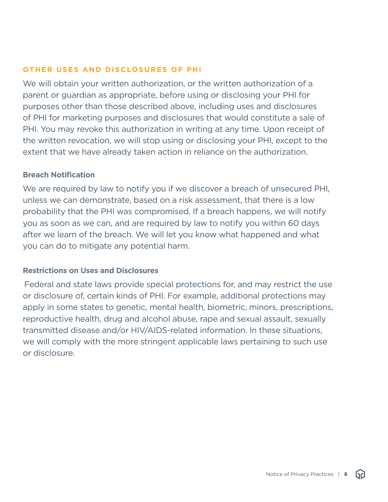#### **OTHER USES AND DISCLOSURES OF PHI**

We will obtain your written authorization, or the written authorization of a parent or guardian as appropriate, before using or disclosing your PHI for purposes other than those described above, including uses and disclosures of PHI for marketing purposes and disclosures that would constitute a sale of PHI. You may revoke this authorization in writing at any time. Upon receipt of the written revocation, we will stop using or disclosing your PHI, except to the extent that we have already taken action in reliance on the authorization.

#### **Breach Notification**

We are required by law to notify you if we discover a breach of unsecured PHI, unless we can demonstrate, based on a risk assessment, that there is a low probability that the PHI was compromised. If a breach happens, we will notify you as soon as we can, and are required by law to notify you within 60 days after we learn of the breach. We will let you know what happened and what you can do to mitigate any potential harm.

#### **Restrictions on Uses and Disclosures**

Federal and state laws provide special protections for, and may restrict the use or disclosure of, certain kinds of PHI. For example, additional protections may apply in some states to genetic, mental health, biometric, minors, prescriptions, reproductive health, drug and alcohol abuse, rape and sexual assault, sexually transmitted disease and/or HIV/AIDS-related information. In these situations, we will comply with the more stringent applicable laws pertaining to such use or disclosure.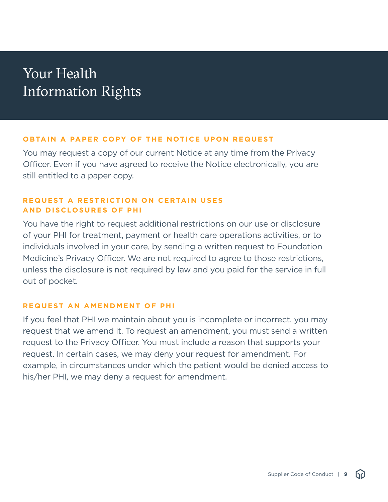## Your Health Information Rights

#### **OBTAIN A PAPER COPY OF THE NOTICE UPON REQUEST**

You may request a copy of our current Notice at any time from the Privacy Officer. Even if you have agreed to receive the Notice electronically, you are still entitled to a paper copy.

#### **REQUEST A RESTRICTION ON CERTAIN USES AND DISCLOSURES OF PHI**

You have the right to request additional restrictions on our use or disclosure of your PHI for treatment, payment or health care operations activities, or to individuals involved in your care, by sending a written request to Foundation Medicine's Privacy Officer. We are not required to agree to those restrictions, unless the disclosure is not required by law and you paid for the service in full out of pocket.

#### **REQUEST AN AMENDMENT OF PHI**

If you feel that PHI we maintain about you is incomplete or incorrect, you may request that we amend it. To request an amendment, you must send a written request to the Privacy Officer. You must include a reason that supports your request. In certain cases, we may deny your request for amendment. For example, in circumstances under which the patient would be denied access to his/her PHI, we may deny a request for amendment.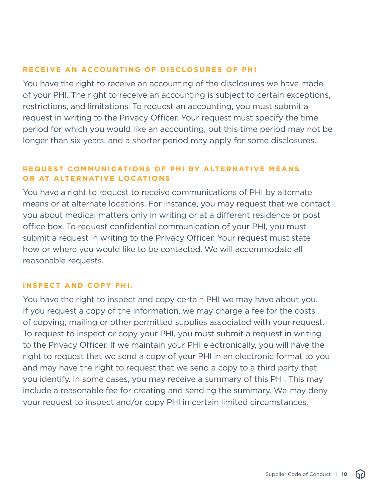#### **RECEIVE AN ACCOUNTING OF DISCLOSURES OF PHI**

You have the right to receive an accounting of the disclosures we have made of your PHI. The right to receive an accounting is subject to certain exceptions, restrictions, and limitations. To request an accounting, you must submit a request in writing to the Privacy Officer. Your request must specify the time period for which you would like an accounting, but this time period may not be longer than six years, and a shorter period may apply for some disclosures.

#### **REQUEST COMMUNICATIONS OF PHI BY ALTERNATIVE MEANS OR AT ALTERNATIVE LOCATIONS**

You have a right to request to receive communications of PHI by alternate means or at alternate locations. For instance, you may request that we contact you about medical matters only in writing or at a different residence or post office box. To request confidential communication of your PHI, you must submit a request in writing to the Privacy Officer. Your request must state how or where you would like to be contacted. We will accommodate all reasonable requests.

#### **INSPECT AND COPY PHI.**

You have the right to inspect and copy certain PHI we may have about you. If you request a copy of the information, we may charge a fee for the costs of copying, mailing or other permitted supplies associated with your request. To request to inspect or copy your PHI, you must submit a request in writing to the Privacy Officer. If we maintain your PHI electronically, you will have the right to request that we send a copy of your PHI in an electronic format to you and may have the right to request that we send a copy to a third party that you identify. In some cases, you may receive a summary of this PHI. This may include a reasonable fee for creating and sending the summary. We may deny your request to inspect and/or copy PHI in certain limited circumstances.